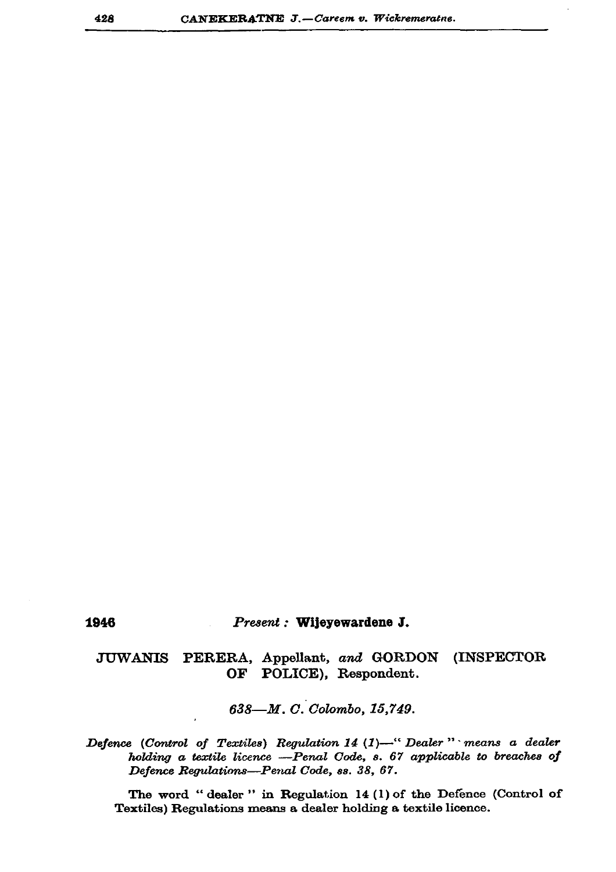## 1946

## Present : Wijeyewardene J.

## **JUWANIS** PERERA, Appellant, and GORDON (INSPECTOR OF POLICE), Respondent.

638-M.C. Colombo, 15,749.

Defence (Control of Textiles) Regulation 14 (1)-" Dealer" means a dealer holding a textile licence -Penal Code, s. 67 applicable to breaches of Defence Regulations-Penal Code, ss. 38, 67.

The word "dealer" in Regulation 14 (1) of the Defence (Control of Textiles) Regulations means a dealer holding a textile licence.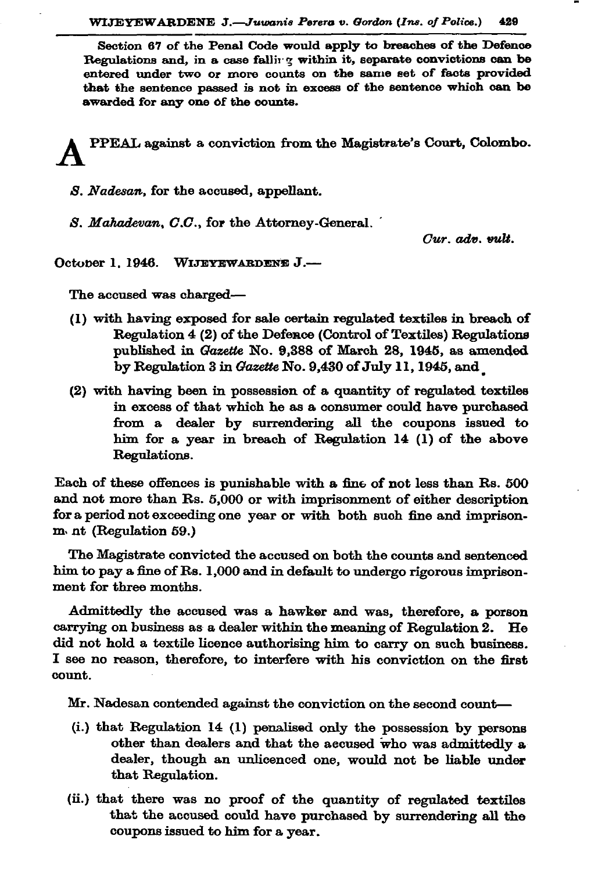Section 67 of the Penal Code would apply to breaches of the Defence Regulations and, in a case falling within it, separate convictions can be entered under two or more counts on the same set of facts provided that the sentence passed is not in excess of the sentence which can be awarded for any one of the counts.

PPEAL against a conviction from the Magistrate's Court, Colombo.

S. Nadesan, for the accused, appellant.

S. Mahadevan, C.C., for the Attorney-General.

 $Cur.$   $adv.$   $vult.$ 

October 1, 1946. WIJEYEWARDENE J.-

The accused was charged-

- (1) with having exposed for sale certain regulated textiles in breach of Regulation 4 (2) of the Defence (Control of Textiles) Regulations published in Gazette No. 9,388 of March 28, 1945, as amended by Regulation 3 in Gazette No. 9,430 of July 11, 1945, and
- (2) with having been in possession of a quantity of regulated textiles in excess of that which he as a consumer could have purchased from a dealer by surrendering all the coupons issued to him for a year in breach of Regulation 14 (1) of the above Regulations.

Each of these offences is punishable with a fine of not less than Rs. 500 and not more than Rs. 5,000 or with imprisonment of either description for a period not exceeding one year or with both such fine and imprisonm. nt (Regulation 59.)

The Magistrate convicted the accused on both the counts and sentenced him to pay a fine of Rs. 1,000 and in default to undergo rigorous imprisonment for three months.

Admittedly the accused was a hawker and was, therefore, a porson carrying on business as a dealer within the meaning of Regulation 2. He did not hold a textile licence authorising him to carry on such business. I see no reason, therefore, to interfere with his conviction on the first count.

Mr. Nadesan contended against the conviction on the second count-

- (i.) that Regulation 14 (1) penalised only the possession by persons other than dealers and that the accused who was admittedly a dealer, though an unlicenced one, would not be liable under that Regulation.
- (ii.) that there was no proof of the quantity of regulated textiles that the accused could have purchased by surrendering all the coupons issued to him for a year.